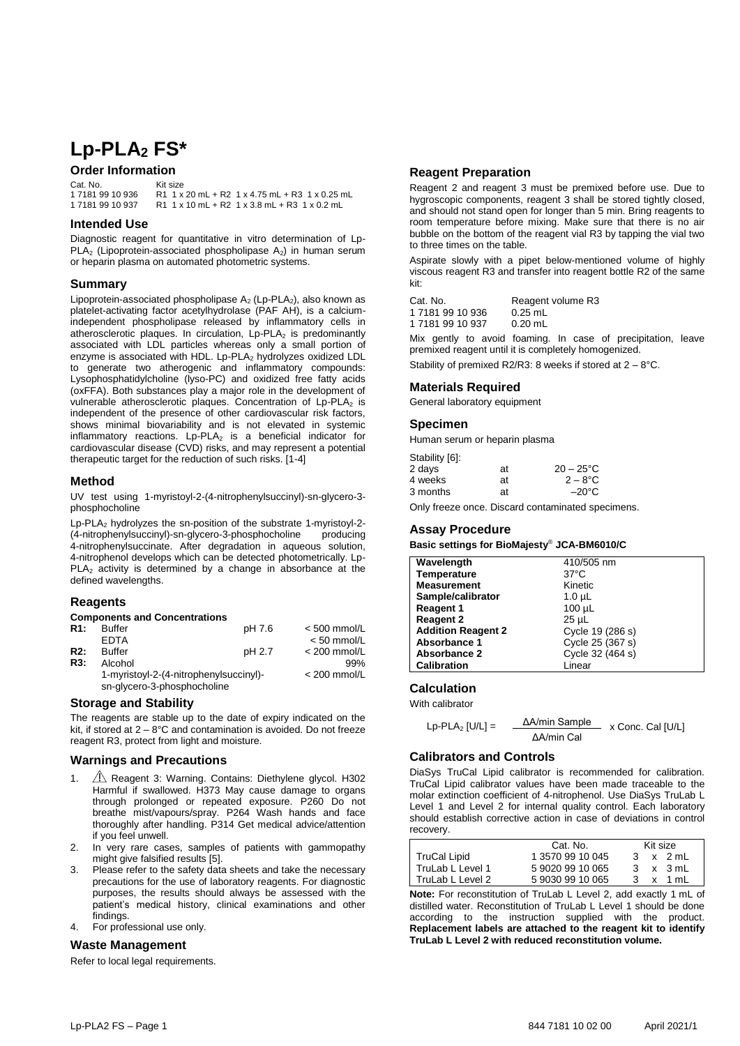# **Lp-PLA<sup>2</sup> FS\***

## **Order Information**

| Cat. No.         | Kit size                                       |
|------------------|------------------------------------------------|
| 1 7181 99 10 936 | R1 1 x 20 mL + R2 1 x 4.75 mL + R3 1 x 0.25 mL |
| 1 7181 99 10 937 | $R1$ 1 x 10 mL + R2 1 x 3.8 mL + R3 1 x 0.2 mL |

#### **Intended Use**

Diagnostic reagent for quantitative in vitro determination of Lp-PLA<sub>2</sub> (Lipoprotein-associated phospholipase A<sub>2</sub>) in human serum or heparin plasma on automated photometric systems.

#### **Summary**

Lipoprotein-associated phospholipase  $A_2$  (Lp-PLA<sub>2</sub>), also known as platelet-activating factor acetylhydrolase (PAF AH), is a calciumindependent phospholipase released by inflammatory cells in atherosclerotic plaques. In circulation, Lp-PLA<sub>2</sub> is predominantly associated with LDL particles whereas only a small portion of enzyme is associated with HDL. Lp-PLA<sub>2</sub> hydrolyzes oxidized LDL to generate two atherogenic and inflammatory compounds: Lysophosphatidylcholine (lyso-PC) and oxidized free fatty acids (oxFFA). Both substances play a major role in the development of vulnerable atherosclerotic plaques. Concentration of Lp-PLA<sub>2</sub> is independent of the presence of other cardiovascular risk factors, shows minimal biovariability and is not elevated in systemic inflammatory reactions.  $L_p$ -PLA<sub>2</sub> is a beneficial indicator for cardiovascular disease (CVD) risks, and may represent a potential therapeutic target for the reduction of such risks. [1-4]

#### **Method**

UV test using 1-myristoyl-2-(4-nitrophenylsuccinyl)-sn-glycero-3 phosphocholine

Lp-PLA<sup>2</sup> hydrolyzes the sn-position of the substrate 1-myristoyl-2- (4-nitrophenylsuccinyl)-sn-glycero-3-phosphocholine producing 4-nitrophenylsuccinate. After degradation in aqueous solution, 4-nitrophenol develops which can be detected photometrically. Lp- $PLA<sub>2</sub>$  activity is determined by a change in absorbance at the defined wavelengths.

#### **Reagents**

#### **Components and Concentrations**

| R1: | <b>Buffer</b>                          | pH 7.6         | $< 500$ mmol/L |
|-----|----------------------------------------|----------------|----------------|
|     | <b>FDTA</b>                            |                | $< 50$ mmol/L  |
| R2: | <b>Buffer</b>                          | pH 2.7         | $<$ 200 mmol/L |
| R3: | Alcohol                                |                | 99%            |
|     | 1-myristoyl-2-(4-nitrophenylsuccinyl)- | $<$ 200 mmol/L |                |
|     | sn-glycero-3-phosphocholine            |                |                |

## **Storage and Stability**

The reagents are stable up to the date of expiry indicated on the kit, if stored at 2 – 8°C and contamination is avoided. Do not freeze reagent R3, protect from light and moisture.

#### **Warnings and Precautions**

- 1.  $\sqrt{1}$  Reagent 3: Warning. Contains: Diethylene glycol. H302 Harmful if swallowed. H373 May cause damage to organs through prolonged or repeated exposure. P260 Do not breathe mist/vapours/spray. P264 Wash hands and face thoroughly after handling. P314 Get medical advice/attention if you feel unwell.
- 2. In very rare cases, samples of patients with gammopathy might give falsified results [5].
- 3. Please refer to the safety data sheets and take the necessary precautions for the use of laboratory reagents. For diagnostic purposes, the results should always be assessed with the patient's medical history, clinical examinations and other findings.
- 4. For professional use only.

### **Waste Management**

Refer to local legal requirements.

#### **Reagent Preparation**

Reagent 2 and reagent 3 must be premixed before use. Due to hygroscopic components, reagent 3 shall be stored tightly closed, and should not stand open for longer than 5 min. Bring reagents to room temperature before mixing. Make sure that there is no air bubble on the bottom of the reagent vial R3 by tapping the vial two to three times on the table.

Aspirate slowly with a pipet below-mentioned volume of highly viscous reagent R3 and transfer into reagent bottle R2 of the same kit:

| Cat. No.                                                                                                                                                                                                                           | Reagent volume R3 |  |
|------------------------------------------------------------------------------------------------------------------------------------------------------------------------------------------------------------------------------------|-------------------|--|
| 171819910936                                                                                                                                                                                                                       | $0.25$ mL         |  |
| 1 7181 99 10 937                                                                                                                                                                                                                   | $0.20 \text{ mL}$ |  |
| .<br>. The contract of the contract of the contract of the contract of the contract of the contract of the contract of the contract of the contract of the contract of the contract of the contract of the contract of the contrac | $\cdots$          |  |

Mix gently to avoid foaming. In case of precipitation, leave premixed reagent until it is completely homogenized.

Stability of premixed R2/R3: 8 weeks if stored at 2 – 8°C.

#### **Materials Required**

General laboratory equipment

#### **Specimen**

Human serum or heparin plasma

| $20 - 25^{\circ}$ C |
|---------------------|
| $2 - 8$ °C          |
| $-20^{\circ}$ C     |
|                     |

Only freeze once. Discard contaminated specimens.

#### **Assay Procedure**

**Basic settings for BioMajesty**® **JCA-BM6010/C**

| Wavelength                | 410/505 nm       |
|---------------------------|------------------|
| <b>Temperature</b>        | $37^{\circ}$ C   |
| <b>Measurement</b>        | Kinetic          |
| Sample/calibrator         | $1.0 \mu L$      |
| <b>Reagent 1</b>          | $100 \mu L$      |
| <b>Reagent 2</b>          | $25 \mu L$       |
| <b>Addition Reagent 2</b> | Cycle 19 (286 s) |
| Absorbance 1              | Cycle 25 (367 s) |
| Absorbance 2              | Cycle 32 (464 s) |
| <b>Calibration</b>        | Linear           |

## **Calculation**

With calibrator

| $Lp$ -PLA <sub>2</sub> [U/L] = | ∆A/min Sample | x Conc. Cal [U/L] |  |  |
|--------------------------------|---------------|-------------------|--|--|
|                                | ∆A/min Cal    |                   |  |  |

#### **Calibrators and Controls**

DiaSys TruCal Lipid calibrator is recommended for calibration. TruCal Lipid calibrator values have been made traceable to the molar extinction coefficient of 4-nitrophenol. Use DiaSys TruLab L Level 1 and Level 2 for internal quality control. Each laboratory should establish corrective action in case of deviations in control recovery.

|                     | Kit size<br>Cat. No. |              |   |          |
|---------------------|----------------------|--------------|---|----------|
| <b>TruCal Lipid</b> | 1 3570 99 10 045     | $\mathbf{B}$ |   | x 2 mL   |
| TruLab L Level 1    | 5 9020 99 10 065     |              |   | 3 x 3 mL |
| TruLab L Level 2    | 5 9030 99 10 065     |              | x | 1 mL     |

**Note:** For reconstitution of TruLab L Level 2, add exactly 1 mL of distilled water. Reconstitution of TruLab L Level 1 should be done according to the instruction supplied with the product. **Replacement labels are attached to the reagent kit to identify TruLab L Level 2 with reduced reconstitution volume.**